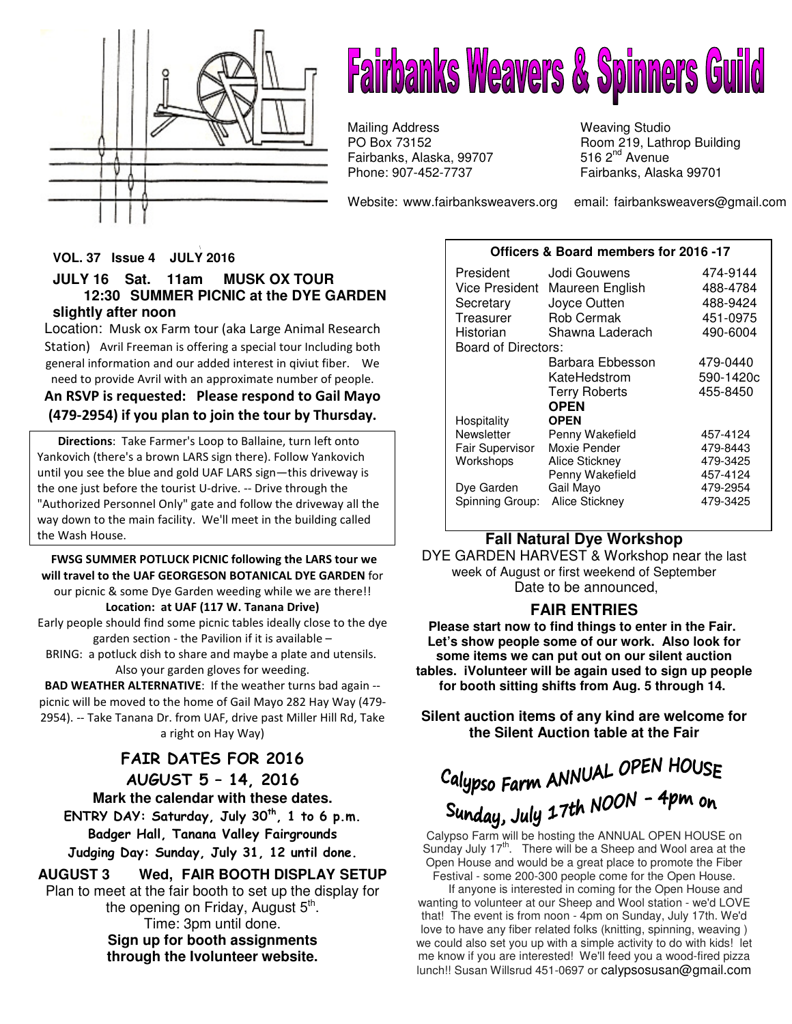

# **Fairbanks Weavers & Spinners Guild**

Mailing Address Weaving Studio Fairbanks, Alaska, 99707<br>Phone: 907-452-7737

PO Box 73152 Room 219, Lathrop Building<br>Fairbanks, Alaska, 99707 516 2<sup>nd</sup> Avenue Fairbanks, Alaska 99701

Website: www.fairbanksweavers.org email: fairbanksweavers@gmail.com

#### \ **VOL. 37 Issue 4 JULY 2016**

### **JULY 16 Sat. 11am MUSK OX TOUR 12:30 SUMMER PICNIC at the DYE GARDEN slightly after noon**

Location: Musk ox Farm tour (aka Large Animal Research Station) Avril Freeman is offering a special tour Including both general information and our added interest in qiviut fiber. We need to provide Avril with an approximate number of people.

### An RSVP is requested: Please respond to Gail Mayo (479-2954) if you plan to join the tour by Thursday.

 Directions: Take Farmer's Loop to Ballaine, turn left onto Yankovich (there's a brown LARS sign there). Follow Yankovich until you see the blue and gold UAF LARS sign—this driveway is the one just before the tourist U-drive. -- Drive through the "Authorized Personnel Only" gate and follow the driveway all the way down to the main facility. We'll meet in the building called the Wash House.

### FWSG SUMMER POTLUCK PICNIC following the LARS tour we will travel to the UAF GEORGESON BOTANICAL DYE GARDEN for our picnic & some Dye Garden weeding while we are there!! Location: at UAF (117 W. Tanana Drive)

Early people should find some picnic tables ideally close to the dye garden section - the Pavilion if it is available –

BRING: a potluck dish to share and maybe a plate and utensils. Also your garden gloves for weeding.

BAD WEATHER ALTERNATIVE: If the weather turns bad again - picnic will be moved to the home of Gail Mayo 282 Hay Way (479- 2954). -- Take Tanana Dr. from UAF, drive past Miller Hill Rd, Take a right on Hay Way)

FAIR DATES FOR 2016 AUGUST 5 – 14, 2016 **Mark the calendar with these dates.**  ENTRY DAY: Saturday, July  $30<sup>th</sup>$ , 1 to 6 p.m. Badger Hall, Tanana Valley Fairgrounds Judging Day: Sunday, July 31, 12 until done.

### **AUGUST 3 Wed, FAIR BOOTH DISPLAY SETUP**  Plan to meet at the fair booth to set up the display for

the opening on Friday, August 5<sup>th</sup>. Time: 3pm until done. **Sign up for booth assignments through the Ivolunteer website.** 

### **Officers & Board members for 2016 -17**

| President           | Jodi Gouwens          | 474-9144  |
|---------------------|-----------------------|-----------|
| Vice President      | Maureen English       | 488-4784  |
| Secretary           | Joyce Outten          | 488-9424  |
| Treasurer           | Rob Cermak            | 451-0975  |
| Historian           | Shawna Laderach       | 490-6004  |
| Board of Directors: |                       |           |
|                     | Barbara Ebbesson      | 479-0440  |
|                     | KateHedstrom          | 590-1420c |
|                     | <b>Terry Roberts</b>  | 455-8450  |
|                     | <b>OPEN</b>           |           |
| Hospitality         | <b>OPEN</b>           |           |
| Newsletter          | Penny Wakefield       | 457-4124  |
| Fair Supervisor     | Moxie Pender          | 479-8443  |
| Workshops           | <b>Alice Stickney</b> | 479-3425  |
|                     | Penny Wakefield       | 457-4124  |
| Dye Garden          | Gail Mayo             | 479-2954  |
| Spinning Group:     | Alice Stickney        | 479-3425  |

### **Fall Natural Dye Workshop**

DYE GARDEN HARVEST & Workshop near the last week of August or first weekend of September Date to be announced,

### **FAIR ENTRIES**

**Please start now to find things to enter in the Fair. Let's show people some of our work. Also look for some items we can put out on our silent auction tables. iVolunteer will be again used to sign up people for booth sitting shifts from Aug. 5 through 14.** 

**Silent auction items of any kind are welcome for the Silent Auction table at the Fair**

## Calypso Farm ANNUAL OPEN HOUSE **Sunday, July 17th NOON - 4pm on**<br>Calypso Farm will be hosting the ANNUAL OPEN HOUSE on

Sunday July  $17<sup>th</sup>$ . There will be a Sheep and Wool area at the Open House and would be a great place to promote the Fiber Festival - some 200-300 people come for the Open House.

 If anyone is interested in coming for the Open House and wanting to volunteer at our Sheep and Wool station - we'd LOVE that! The event is from noon - 4pm on Sunday, July 17th. We'd love to have any fiber related folks (knitting, spinning, weaving ) we could also set you up with a simple activity to do with kids! let me know if you are interested! We'll feed you a wood-fired pizza lunch!! Susan Willsrud 451-0697 or calypsosusan@gmail.com